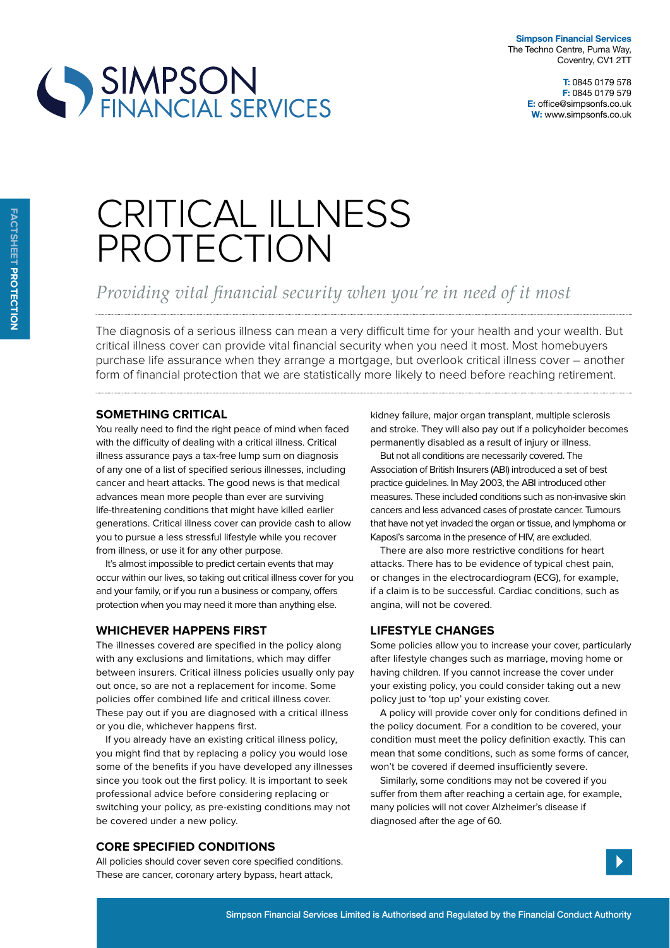



# CRITICAL ILLNESS PROTECTION

## Providing vital financial security when you're in need of it most

The diagnosis of a serious illness can mean a very difficult time for your health and your wealth. But critical illness cover can provide vital financial security when you need it most. Most homebuyers purchase life assurance when they arrange a mortgage, but overlook critical illness cover – another form of financial protection that we are statistically more likely to need before reaching retirement.

#### **SOMETHING CRITICAL**

You really need to find the right peace of mind when faced with the difficulty of dealing with a critical illness. Critical illness assurance pays a tax-free lump sum on diagnosis of any one of a list of specified serious illnesses, including cancer and heart attacks. The good news is that medical advances mean more people than ever are surviving life-threatening conditions that might have killed earlier generations. Critical illness cover can provide cash to allow you to pursue a less stressful lifestyle while you recover from illness, or use it for any other purpose.

It's almost impossible to predict certain events that may occur within our lives, so taking out critical illness cover for you and your family, or if you run a business or company, offers protection when you may need it more than anything else.

#### **wHicHever Happens First**

The illnesses covered are specified in the policy along with any exclusions and limitations, which may difer between insurers. Critical illness policies usually only pay out once, so are not a replacement for income. Some policies ofer combined life and critical illness cover. These pay out if you are diagnosed with a critical illness or you die, whichever happens first.

If you already have an existing critical illness policy, you might find that by replacing a policy you would lose some of the benefits if you have developed any illnesses since you took out the first policy. It is important to seek professional advice before considering replacing or switching your policy, as pre-existing conditions may not be covered under a new policy.

#### **core speciFied conditions**

All policies should cover seven core specified conditions. These are cancer, coronary artery bypass, heart attack,

kidney failure, major organ transplant, multiple sclerosis and stroke. They will also pay out if a policyholder becomes permanently disabled as a result of injury or illness.

But not all conditions are necessarily covered. The Association of British Insurers (ABI) introduced a set of best practice guidelines. In May 2003, the ABI introduced other measures. These included conditions such as non-invasive skin cancers and less advanced cases of prostate cancer. Tumours that have not yet invaded the organ or tissue, and lymphoma or Kaposi's sarcoma in the presence of HIV, are excluded.

There are also more restrictive conditions for heart attacks. There has to be evidence of typical chest pain, or changes in the electrocardiogram (ECG), for example, if a claim is to be successful. Cardiac conditions, such as angina, will not be covered.

#### **liFestyle cHanges**

Some policies allow you to increase your cover, particularly after lifestyle changes such as marriage, moving home or having children. If you cannot increase the cover under your existing policy, you could consider taking out a new policy just to 'top up' your existing cover.

A policy will provide cover only for conditions defined in the policy document. For a condition to be covered, your condition must meet the policy definition exactly. This can mean that some conditions, such as some forms of cancer, won't be covered if deemed insufficiently severe.

Similarly, some conditions may not be covered if you suffer from them after reaching a certain age, for example, many policies will not cover Alzheimer's disease if diagnosed after the age of 60.